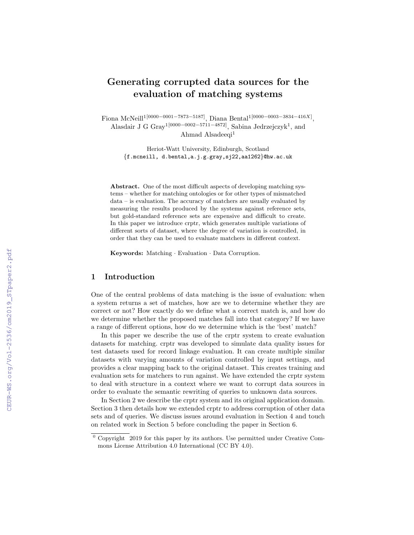# Generating corrupted data sources for the evaluation of matching systems

Fiona McNeill<sup>1[0000–0001–7873–5187]</sup>, Diana Bental<sup>1[0000–0003–3834–416X]</sup>, Alasdair J G  $\text{Gray}^{1[0000-0002-5711-4872]}$ , Sabina Jedrzejczyk<sup>1</sup>, and Ahmad Alsadeeqi<sup>1</sup>

> Heriot-Watt University, Edinburgh, Scotland {f.mcneill, d.bental,a.j.g.gray,sj22,aa1262}@hw.ac.uk

Abstract. One of the most difficult aspects of developing matching systems – whether for matching ontologies or for other types of mismatched data – is evaluation. The accuracy of matchers are usually evaluated by measuring the results produced by the systems against reference sets, but gold-standard reference sets are expensive and difficult to create. In this paper we introduce crptr, which generates multiple variations of different sorts of dataset, where the degree of variation is controlled, in order that they can be used to evaluate matchers in different context.

Keywords: Matching · Evaluation · Data Corruption.

#### 1 Introduction

One of the central problems of data matching is the issue of evaluation: when a system returns a set of matches, how are we to determine whether they are correct or not? How exactly do we define what a correct match is, and how do we determine whether the proposed matches fall into that category? If we have a range of different options, how do we determine which is the 'best' match?

In this paper we describe the use of the crptr system to create evaluation datasets for matching. crptr was developed to simulate data quality issues for test datasets used for record linkage evaluation. It can create multiple similar datasets with varying amounts of variation controlled by input settings, and provides a clear mapping back to the original dataset. This creates training and evaluation sets for matchers to run against. We have extended the crptr system to deal with structure in a context where we want to corrupt data sources in order to evaluate the semantic rewriting of queries to unknown data sources.

In Section 2 we describe the crptr system and its original application domain. Section 3 then details how we extended crptr to address corruption of other data sets and of queries. We discuss issues around evaluation in Section 4 and touch on related work in Section 5 before concluding the paper in Section 6.

 $0$  Copyright 2019 for this paper by its authors. Use permitted under Creative Commons License Attribution 4.0 International (CC BY 4.0).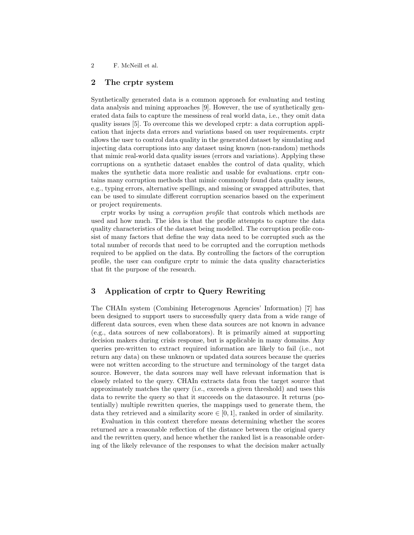# 2 The crptr system

Synthetically generated data is a common approach for evaluating and testing data analysis and mining approaches [9]. However, the use of synthetically generated data fails to capture the messiness of real world data, i.e., they omit data quality issues [5]. To overcome this we developed crptr: a data corruption application that injects data errors and variations based on user requirements. crptr allows the user to control data quality in the generated dataset by simulating and injecting data corruptions into any dataset using known (non-random) methods that mimic real-world data quality issues (errors and variations). Applying these corruptions on a synthetic dataset enables the control of data quality, which makes the synthetic data more realistic and usable for evaluations. crptr contains many corruption methods that mimic commonly found data quality issues, e.g., typing errors, alternative spellings, and missing or swapped attributes, that can be used to simulate different corruption scenarios based on the experiment or project requirements.

crptr works by using a corruption profile that controls which methods are used and how much. The idea is that the profile attempts to capture the data quality characteristics of the dataset being modelled. The corruption profile consist of many factors that define the way data need to be corrupted such as the total number of records that need to be corrupted and the corruption methods required to be applied on the data. By controlling the factors of the corruption profile, the user can configure crptr to mimic the data quality characteristics that fit the purpose of the research.

# 3 Application of crptr to Query Rewriting

The CHAIn system (Combining Heterogenous Agencies' Information) [7] has been designed to support users to successfully query data from a wide range of different data sources, even when these data sources are not known in advance (e.g., data sources of new collaborators). It is primarily aimed at supporting decision makers during crisis response, but is applicable in many domains. Any queries pre-written to extract required information are likely to fail (i.e., not return any data) on these unknown or updated data sources because the queries were not written according to the structure and terminology of the target data source. However, the data sources may well have relevant information that is closely related to the query. CHAIn extracts data from the target source that approximately matches the query (i.e., exceeds a given threshold) and uses this data to rewrite the query so that it succeeds on the datasource. It returns (potentially) multiple rewritten queries, the mappings used to generate them, the data they retrieved and a similarity score  $\in [0, 1]$ , ranked in order of similarity.

Evaluation in this context therefore means determining whether the scores returned are a reasonable reflection of the distance between the original query and the rewritten query, and hence whether the ranked list is a reasonable ordering of the likely relevance of the responses to what the decision maker actually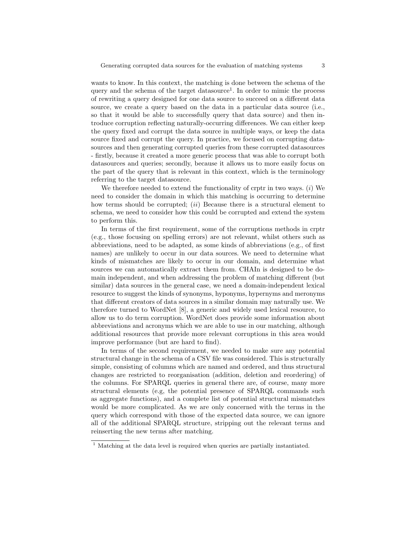wants to know. In this context, the matching is done between the schema of the query and the schema of the target datasource<sup>1</sup>. In order to mimic the process of rewriting a query designed for one data source to succeed on a different data source, we create a query based on the data in a particular data source (i.e., so that it would be able to successfully query that data source) and then introduce corruption reflecting naturally-occurring differences. We can either keep the query fixed and corrupt the data source in multiple ways, or keep the data source fixed and corrupt the query. In practice, we focused on corrupting datasources and then generating corrupted queries from these corrupted datasources - firstly, because it created a more generic process that was able to corrupt both datasources and queries; secondly, because it allows us to more easily focus on the part of the query that is relevant in this context, which is the terminology referring to the target datasource.

We therefore needed to extend the functionality of crptr in two ways.  $(i)$  We need to consider the domain in which this matching is occurring to determine how terms should be corrupted; *(ii)* Because there is a structural element to schema, we need to consider how this could be corrupted and extend the system to perform this.

In terms of the first requirement, some of the corruptions methods in crptr (e.g., those focusing on spelling errors) are not relevant, whilst others such as abbreviations, need to be adapted, as some kinds of abbreviations (e.g., of first names) are unlikely to occur in our data sources. We need to determine what kinds of mismatches are likely to occur in our domain, and determine what sources we can automatically extract them from. CHAIn is designed to be domain independent, and when addressing the problem of matching different (but similar) data sources in the general case, we need a domain-independent lexical resource to suggest the kinds of synonyms, hyponyms, hypernyms and meronyms that different creators of data sources in a similar domain may naturally use. We therefore turned to WordNet [8], a generic and widely used lexical resource, to allow us to do term corruption. WordNet does provide some information about abbreviations and acronyms which we are able to use in our matching, although additional resources that provide more relevant corruptions in this area would improve performance (but are hard to find).

In terms of the second requirement, we needed to make sure any potential structural change in the schema of a CSV file was considered. This is structurally simple, consisting of columns which are named and ordered, and thus structural changes are restricted to reorganisation (addition, deletion and reordering) of the columns. For SPARQL queries in general there are, of course, many more structural elements (e.g, the potential presence of SPARQL commands such as aggregate functions), and a complete list of potential structural mismatches would be more complicated. As we are only concerned with the terms in the query which correspond with those of the expected data source, we can ignore all of the additional SPARQL structure, stripping out the relevant terms and reinserting the new terms after matching.

<sup>&</sup>lt;sup>1</sup> Matching at the data level is required when queries are partially instantiated.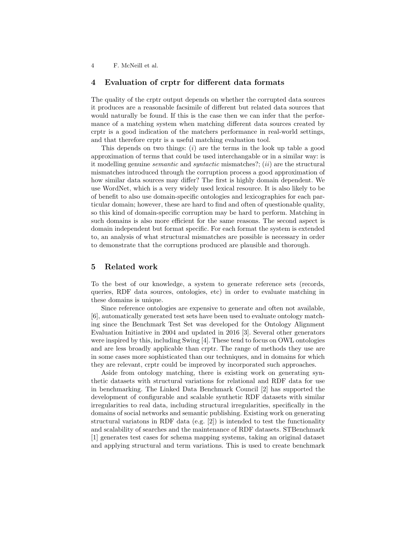4 F. McNeill et al.

#### 4 Evaluation of crptr for different data formats

The quality of the crptr output depends on whether the corrupted data sources it produces are a reasonable facsimile of different but related data sources that would naturally be found. If this is the case then we can infer that the performance of a matching system when matching different data sources created by crptr is a good indication of the matchers performance in real-world settings, and that therefore crptr is a useful matching evaluation tool.

This depends on two things:  $(i)$  are the terms in the look up table a good approximation of terms that could be used interchangable or in a similar way: is it modelling genuine semantic and syntactic mismatches?; (ii) are the structural mismatches introduced through the corruption process a good approximation of how similar data sources may differ? The first is highly domain dependent. We use WordNet, which is a very widely used lexical resource. It is also likely to be of benefit to also use domain-specific ontologies and lexicographies for each particular domain; however, these are hard to find and often of questionable quality, so this kind of domain-specific corruption may be hard to perform. Matching in such domains is also more efficient for the same reasons. The second aspect is domain independent but format specific. For each format the system is extended to, an analysis of what structural mismatches are possible is necessary in order to demonstrate that the corruptions produced are plausible and thorough.

# 5 Related work

To the best of our knowledge, a system to generate reference sets (records, queries, RDF data sources, ontologies, etc) in order to evaluate matching in these domains is unique.

Since reference ontologies are expensive to generate and often not available, [6], automatically generated test sets have been used to evaluate ontology matching since the Benchmark Test Set was developed for the Ontology Alignment Evaluation Initiative in 2004 and updated in 2016 [3]. Several other generators were inspired by this, including Swing [4]. These tend to focus on OWL ontologies and are less broadly applicable than crptr. The range of methods they use are in some cases more sophisticated than our techniques, and in domains for which they are relevant, crptr could be improved by incorporated such approaches.

Aside from ontology matching, there is existing work on generating synthetic datasets with structural variations for relational and RDF data for use in benchmarking. The Linked Data Benchmark Council [2] has supported the development of configurable and scalable synthetic RDF datasets with similar irregularities to real data, including structural irregularities, specifically in the domains of social networks and semantic publishing. Existing work on generating structural variatons in RDF data (e.g. [2]) is intended to test the functionality and scalability of searches and the maintenance of RDF datasets. STBenchmark [1] generates test cases for schema mapping systems, taking an original dataset and applying structural and term variations. This is used to create benchmark